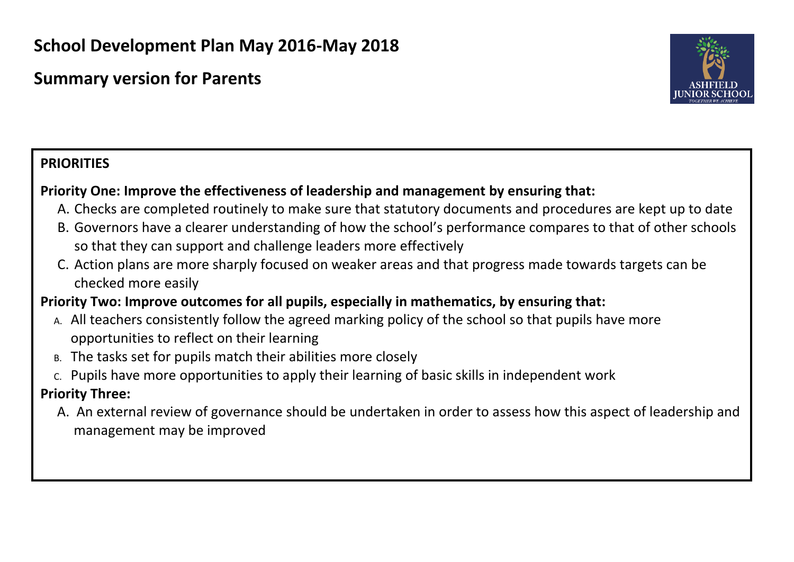# **School Development Plan May 2016-May 2018**

# **Summary version for Parents**



# **PRIORITIES**

## **Priority One: Improve the effectiveness of leadership and management by ensuring that:**

- A. Checks are completed routinely to make sure that statutory documents and procedures are kept up to date
- B. Governors have a clearer understanding of how the school's performance compares to that of other schools so that they can support and challenge leaders more effectively
- C. Action plans are more sharply focused on weaker areas and that progress made towards targets can be checked more easily

# **Priority Two: Improve outcomes for all pupils, especially in mathematics, by ensuring that:**

- A. All teachers consistently follow the agreed marking policy of the school so that pupils have more opportunities to reflect on their learning
- B. The tasks set for pupils match their abilities more closely
- C. Pupils have more opportunities to apply their learning of basic skills in independent work

## **Priority Three:**

A. An external review of governance should be undertaken in order to assess how this aspect of leadership and management may be improved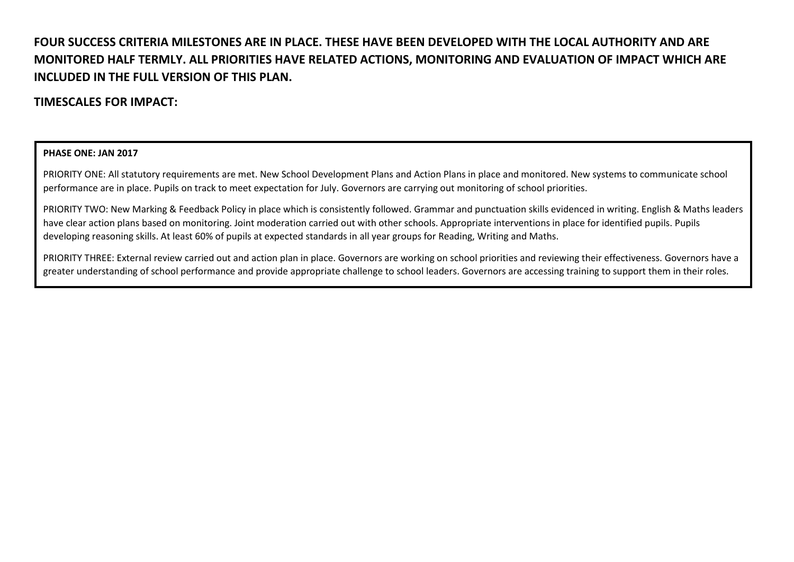### **FOUR SUCCESS CRITERIA MILESTONES ARE IN PLACE. THESE HAVE BEEN DEVELOPED WITH THE LOCAL AUTHORITY AND ARE MONITORED HALF TERMLY. ALL PRIORITIES HAVE RELATED ACTIONS, MONITORING AND EVALUATION OF IMPACT WHICH ARE INCLUDED IN THE FULL VERSION OF THIS PLAN.**

### **TIMESCALES FOR IMPACT:**

### **PHASE ONE: JAN 2017**

PRIORITY ONE: All statutory requirements are met. New School Development Plans and Action Plans in place and monitored. New systems to communicate school performance are in place. Pupils on track to meet expectation for July. Governors are carrying out monitoring of school priorities.

PRIORITY TWO: New Marking & Feedback Policy in place which is consistently followed. Grammar and punctuation skills evidenced in writing. English & Maths leaders have clear action plans based on monitoring. Joint moderation carried out with other schools. Appropriate interventions in place for identified pupils. Pupils developing reasoning skills. At least 60% of pupils at expected standards in all year groups for Reading, Writing and Maths.

PRIORITY THREE: External review carried out and action plan in place. Governors are working on school priorities and reviewing their effectiveness. Governors have a greater understanding of school performance and provide appropriate challenge to school leaders. Governors are accessing training to support them in their roles.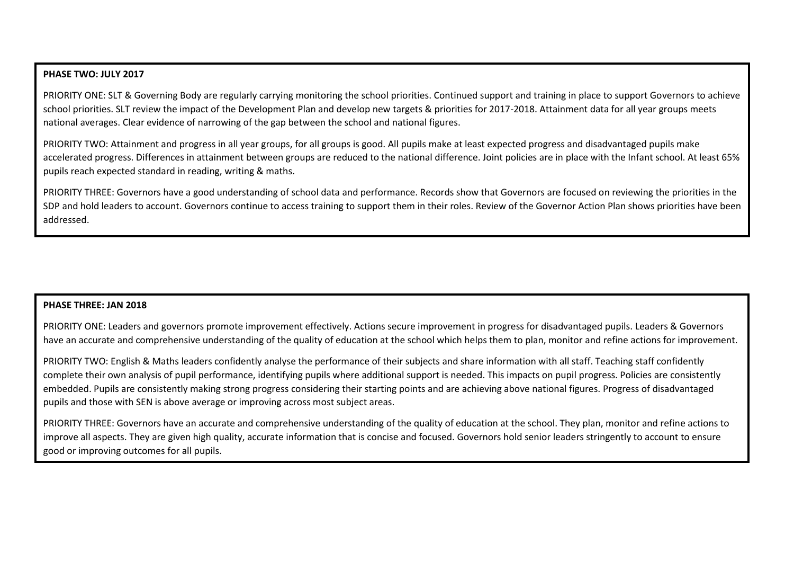### **PHASE TWO: JULY 2017**

PRIORITY ONE: SLT & Governing Body are regularly carrying monitoring the school priorities. Continued support and training in place to support Governors to achieve school priorities. SLT review the impact of the Development Plan and develop new targets & priorities for 2017-2018. Attainment data for all year groups meets national averages. Clear evidence of narrowing of the gap between the school and national figures.

PRIORITY TWO: Attainment and progress in all year groups, for all groups is good. All pupils make at least expected progress and disadvantaged pupils make accelerated progress. Differences in attainment between groups are reduced to the national difference. Joint policies are in place with the Infant school. At least 65% pupils reach expected standard in reading, writing & maths.

PRIORITY THREE: Governors have a good understanding of school data and performance. Records show that Governors are focused on reviewing the priorities in the SDP and hold leaders to account. Governors continue to access training to support them in their roles. Review of the Governor Action Plan shows priorities have been addressed.

### **PHASE THREE: JAN 2018**

PRIORITY ONE: Leaders and governors promote improvement effectively. Actions secure improvement in progress for disadvantaged pupils. Leaders & Governors have an accurate and comprehensive understanding of the quality of education at the school which helps them to plan, monitor and refine actions for improvement.

PRIORITY TWO: English & Maths leaders confidently analyse the performance of their subjects and share information with all staff. Teaching staff confidently complete their own analysis of pupil performance, identifying pupils where additional support is needed. This impacts on pupil progress. Policies are consistently embedded. Pupils are consistently making strong progress considering their starting points and are achieving above national figures. Progress of disadvantaged pupils and those with SEN is above average or improving across most subject areas.

PRIORITY THREE: Governors have an accurate and comprehensive understanding of the quality of education at the school. They plan, monitor and refine actions to improve all aspects. They are given high quality, accurate information that is concise and focused. Governors hold senior leaders stringently to account to ensure good or improving outcomes for all pupils.